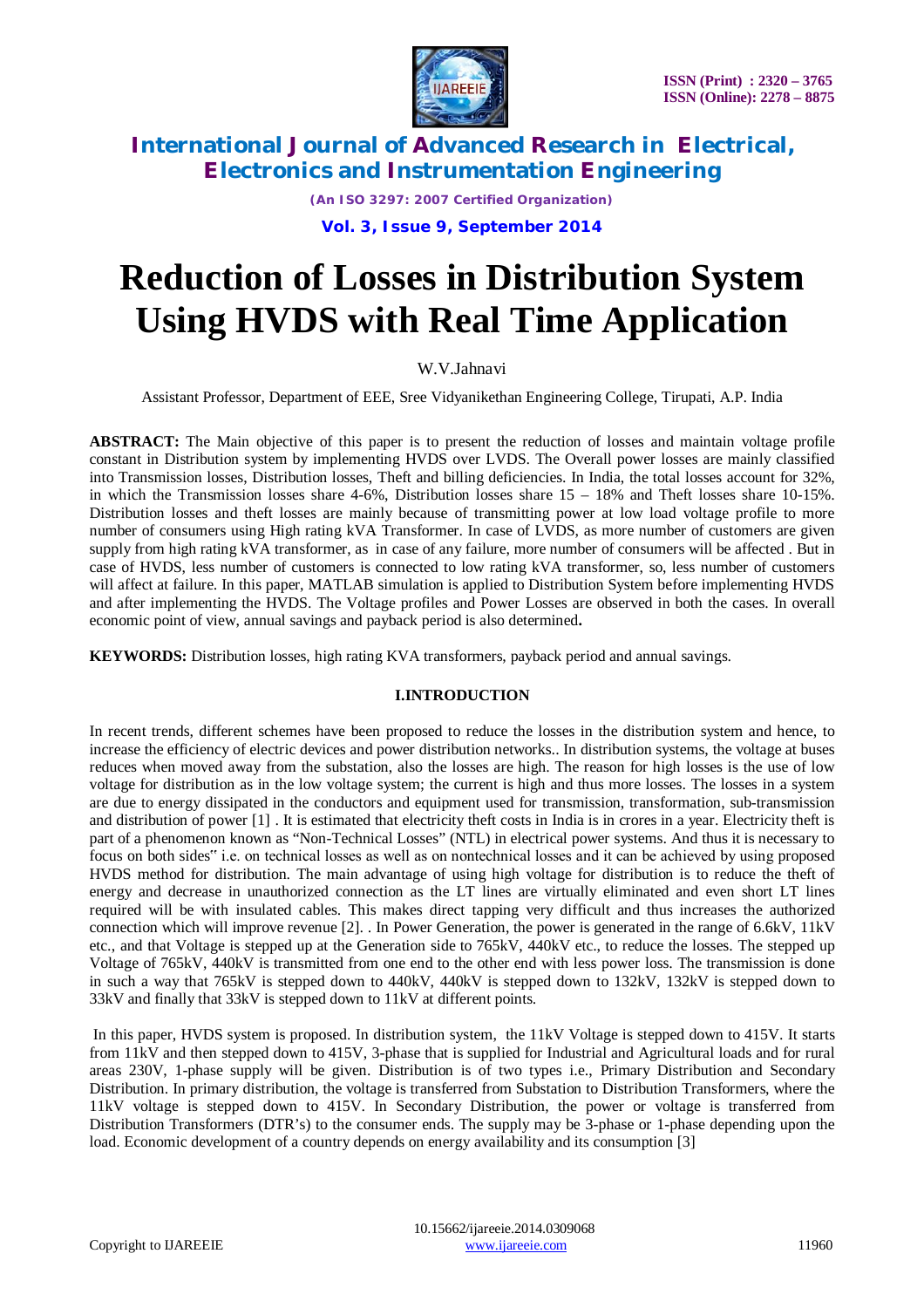

*(An ISO 3297: 2007 Certified Organization)*

**Vol. 3, Issue 9, September 2014**

# **Reduction of Losses in Distribution System Using HVDS with Real Time Application**

# W.V.Jahnavi

Assistant Professor, Department of EEE, Sree Vidyanikethan Engineering College, Tirupati, A.P. India

**ABSTRACT:** The Main objective of this paper is to present the reduction of losses and maintain voltage profile constant in Distribution system by implementing HVDS over LVDS. The Overall power losses are mainly classified into Transmission losses, Distribution losses, Theft and billing deficiencies. In India, the total losses account for 32%, in which the Transmission losses share 4-6%, Distribution losses share 15 – 18% and Theft losses share 10-15%. Distribution losses and theft losses are mainly because of transmitting power at low load voltage profile to more number of consumers using High rating kVA Transformer. In case of LVDS, as more number of customers are given supply from high rating kVA transformer, as in case of any failure, more number of consumers will be affected . But in case of HVDS, less number of customers is connected to low rating kVA transformer, so, less number of customers will affect at failure. In this paper, MATLAB simulation is applied to Distribution System before implementing HVDS and after implementing the HVDS. The Voltage profiles and Power Losses are observed in both the cases. In overall economic point of view, annual savings and payback period is also determined**.**

**KEYWORDS:** Distribution losses, high rating KVA transformers, payback period and annual savings.

# **I.INTRODUCTION**

In recent trends, different schemes have been proposed to reduce the losses in the distribution system and hence, to increase the efficiency of electric devices and power distribution networks.. In distribution systems, the voltage at buses reduces when moved away from the substation, also the losses are high. The reason for high losses is the use of low voltage for distribution as in the low voltage system; the current is high and thus more losses. The losses in a system are due to energy dissipated in the conductors and equipment used for transmission, transformation, sub-transmission and distribution of power [1] . It is estimated that electricity theft costs in India is in crores in a year. Electricity theft is part of a phenomenon known as "Non-Technical Losses" (NTL) in electrical power systems. And thus it is necessary to focus on both sides" i.e. on technical losses as well as on nontechnical losses and it can be achieved by using proposed HVDS method for distribution. The main advantage of using high voltage for distribution is to reduce the theft of energy and decrease in unauthorized connection as the LT lines are virtually eliminated and even short LT lines required will be with insulated cables. This makes direct tapping very difficult and thus increases the authorized connection which will improve revenue [2]. . In Power Generation, the power is generated in the range of 6.6kV, 11kV etc., and that Voltage is stepped up at the Generation side to 765kV, 440kV etc., to reduce the losses. The stepped up Voltage of 765kV, 440kV is transmitted from one end to the other end with less power loss. The transmission is done in such a way that 765kV is stepped down to 440kV, 440kV is stepped down to 132kV, 132kV is stepped down to 33kV and finally that 33kV is stepped down to 11kV at different points.

In this paper, HVDS system is proposed. In distribution system, the 11kV Voltage is stepped down to 415V. It starts from 11kV and then stepped down to 415V, 3-phase that is supplied for Industrial and Agricultural loads and for rural areas 230V, 1-phase supply will be given. Distribution is of two types i.e., Primary Distribution and Secondary Distribution. In primary distribution, the voltage is transferred from Substation to Distribution Transformers, where the 11kV voltage is stepped down to 415V. In Secondary Distribution, the power or voltage is transferred from Distribution Transformers (DTR's) to the consumer ends. The supply may be 3-phase or 1-phase depending upon the load. Economic development of a country depends on energy availability and its consumption [3]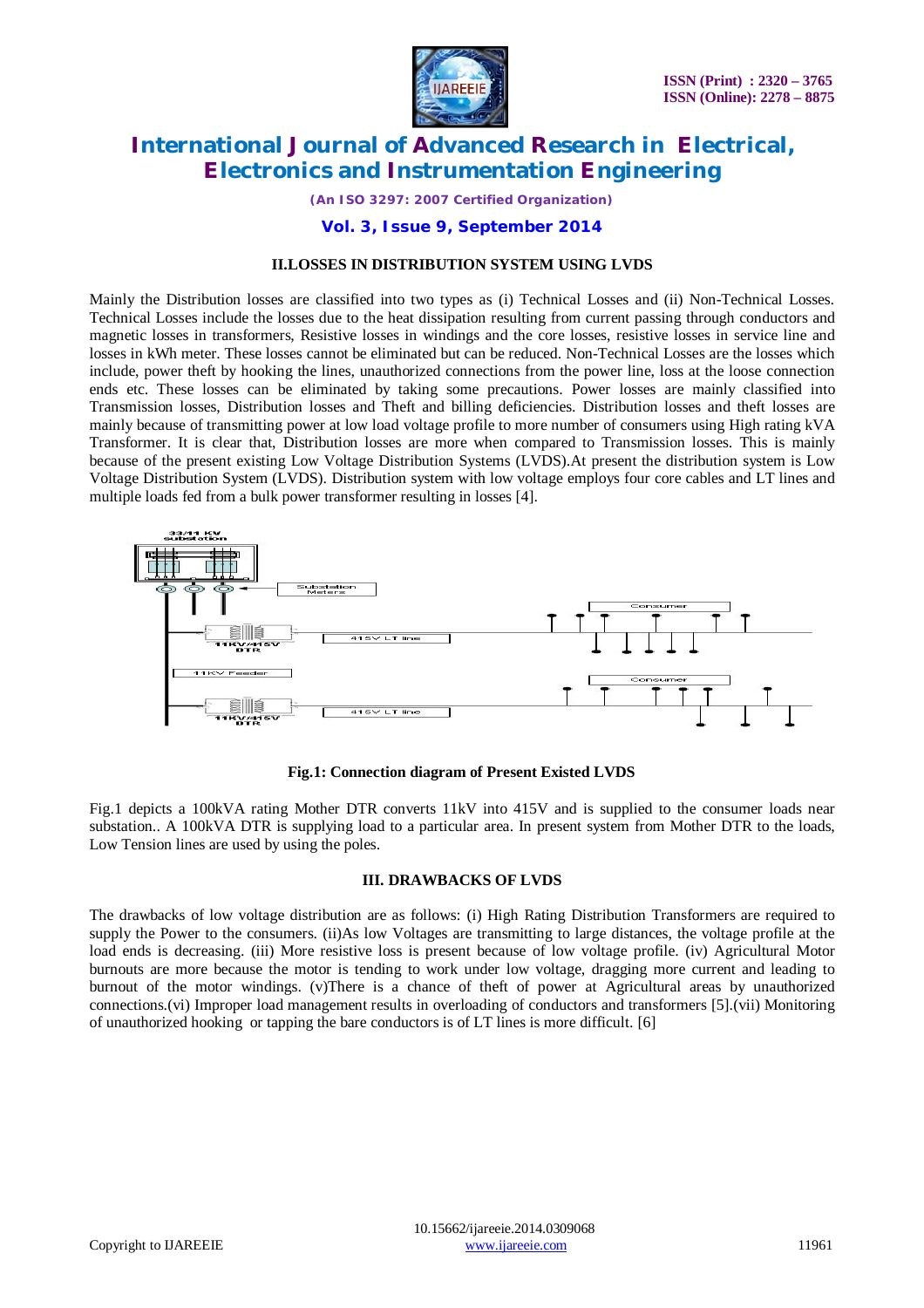

*(An ISO 3297: 2007 Certified Organization)*

### **Vol. 3, Issue 9, September 2014**

#### **II.LOSSES IN DISTRIBUTION SYSTEM USING LVDS**

Mainly the Distribution losses are classified into two types as (i) Technical Losses and (ii) Non-Technical Losses. Technical Losses include the losses due to the heat dissipation resulting from current passing through conductors and magnetic losses in transformers, Resistive losses in windings and the core losses, resistive losses in service line and losses in kWh meter. These losses cannot be eliminated but can be reduced. Non-Technical Losses are the losses which include, power theft by hooking the lines, unauthorized connections from the power line, loss at the loose connection ends etc. These losses can be eliminated by taking some precautions. Power losses are mainly classified into Transmission losses, Distribution losses and Theft and billing deficiencies. Distribution losses and theft losses are mainly because of transmitting power at low load voltage profile to more number of consumers using High rating kVA Transformer. It is clear that, Distribution losses are more when compared to Transmission losses. This is mainly because of the present existing Low Voltage Distribution Systems (LVDS).At present the distribution system is Low Voltage Distribution System (LVDS). Distribution system with low voltage employs four core cables and LT lines and multiple loads fed from a bulk power transformer resulting in losses [4].



**Fig.1: Connection diagram of Present Existed LVDS**

Fig.1 depicts a 100kVA rating Mother DTR converts 11kV into 415V and is supplied to the consumer loads near substation.. A 100kVA DTR is supplying load to a particular area. In present system from Mother DTR to the loads, Low Tension lines are used by using the poles.

#### **III. DRAWBACKS OF LVDS**

The drawbacks of low voltage distribution are as follows: (i) High Rating Distribution Transformers are required to supply the Power to the consumers. (ii)As low Voltages are transmitting to large distances, the voltage profile at the load ends is decreasing. (iii) More resistive loss is present because of low voltage profile. (iv) Agricultural Motor burnouts are more because the motor is tending to work under low voltage, dragging more current and leading to burnout of the motor windings. (v)There is a chance of theft of power at Agricultural areas by unauthorized connections.(vi) Improper load management results in overloading of conductors and transformers [5].(vii) Monitoring of unauthorized hooking or tapping the bare conductors is of LT lines is more difficult. [6]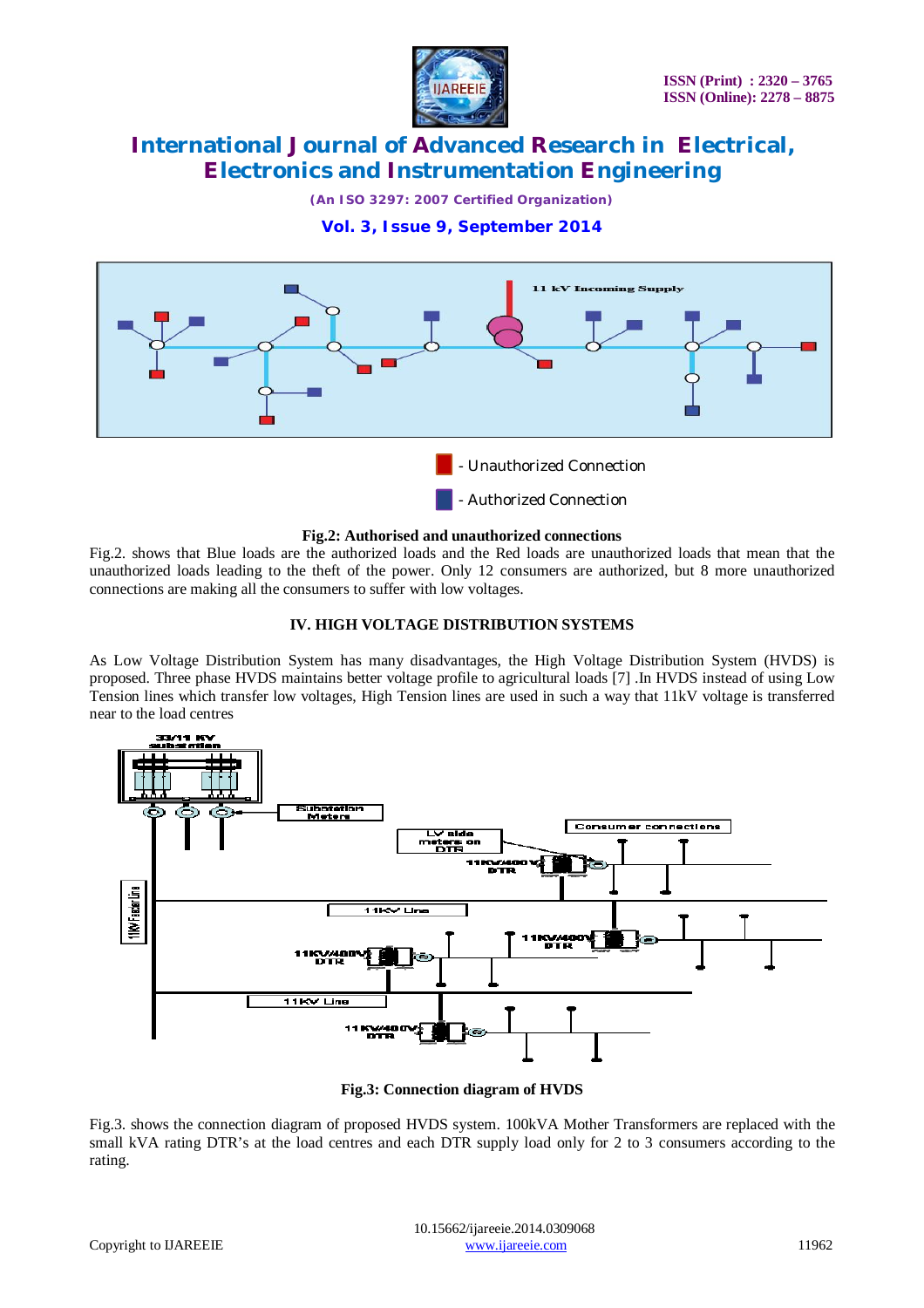

*(An ISO 3297: 2007 Certified Organization)*

**Vol. 3, Issue 9, September 2014**



#### **Fig.2: Authorised and unauthorized connections**

Fig.2. shows that Blue loads are the authorized loads and the Red loads are unauthorized loads that mean that the unauthorized loads leading to the theft of the power. Only 12 consumers are authorized, but 8 more unauthorized connections are making all the consumers to suffer with low voltages.

### **IV. HIGH VOLTAGE DISTRIBUTION SYSTEMS**

As Low Voltage Distribution System has many disadvantages, the High Voltage Distribution System (HVDS) is proposed. Three phase HVDS maintains better voltage profile to agricultural loads [7] .In HVDS instead of using Low Tension lines which transfer low voltages, High Tension lines are used in such a way that 11kV voltage is transferred near to the load centres



**Fig.3: Connection diagram of HVDS**

Fig.3. shows the connection diagram of proposed HVDS system. 100kVA Mother Transformers are replaced with the small kVA rating DTR's at the load centres and each DTR supply load only for 2 to 3 consumers according to the rating.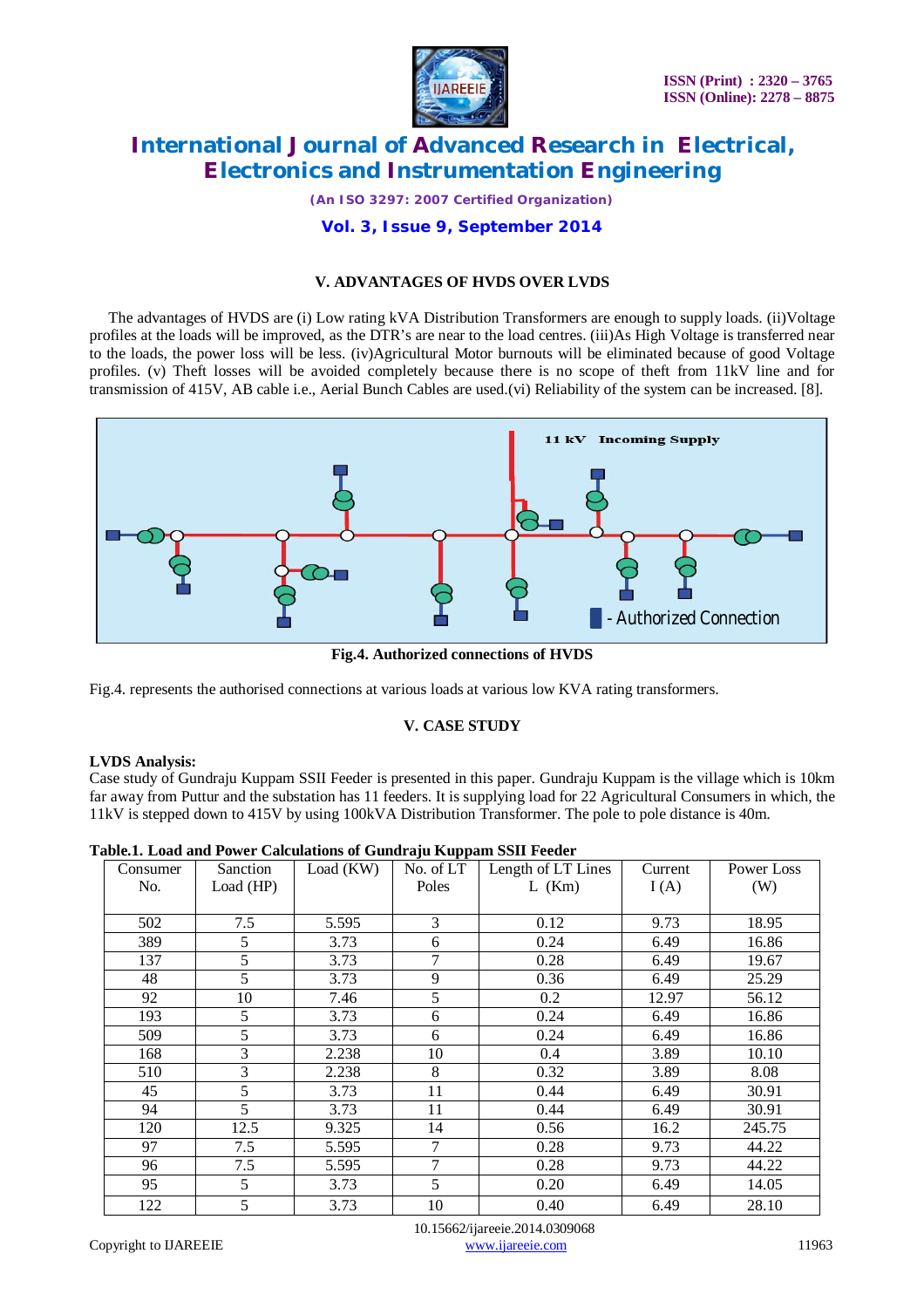

*(An ISO 3297: 2007 Certified Organization)*

# **Vol. 3, Issue 9, September 2014**

# **V. ADVANTAGES OF HVDS OVER LVDS**

 The advantages of HVDS are (i) Low rating kVA Distribution Transformers are enough to supply loads. (ii)Voltage profiles at the loads will be improved, as the DTR's are near to the load centres. (iii)As High Voltage is transferred near to the loads, the power loss will be less. (iv)Agricultural Motor burnouts will be eliminated because of good Voltage profiles. (v) Theft losses will be avoided completely because there is no scope of theft from 11kV line and for transmission of 415V, AB cable i.e., Aerial Bunch Cables are used.(vi) Reliability of the system can be increased. [8].



**Fig.4. Authorized connections of HVDS**

Fig.4. represents the authorised connections at various loads at various low KVA rating transformers.

#### **V. CASE STUDY**

#### **LVDS Analysis:**

Case study of Gundraju Kuppam SSII Feeder is presented in this paper. Gundraju Kuppam is the village which is 10km far away from Puttur and the substation has 11 feeders. It is supplying load for 22 Agricultural Consumers in which, the 11kV is stepped down to 415V by using 100kVA Distribution Transformer. The pole to pole distance is 40m.

| Consumer | Sanction       | Load (KW) | No. of LT | Length of LT Lines | Current | Power Loss |
|----------|----------------|-----------|-----------|--------------------|---------|------------|
| No.      | Load (HP)      |           | Poles     | $L$ (Km)           | I(A)    | (W)        |
|          |                |           |           |                    |         |            |
| 502      | 7.5            | 5.595     | 3         | 0.12               | 9.73    | 18.95      |
| 389      | 5              | 3.73      | 6         | 0.24               | 6.49    | 16.86      |
| 137      | 5              | 3.73      | 7         | 0.28               | 6.49    | 19.67      |
| 48       | 5              | 3.73      | 9         | 0.36               | 6.49    | 25.29      |
| 92       | 10             | 7.46      | 5         | 0.2                | 12.97   | 56.12      |
| 193      | 5              | 3.73      | 6         | 0.24               | 6.49    | 16.86      |
| 509      | 5              | 3.73      | 6         | 0.24               | 6.49    | 16.86      |
| 168      | $\overline{3}$ | 2.238     | 10        | 0.4                | 3.89    | 10.10      |
| 510      | 3              | 2.238     | 8         | 0.32               | 3.89    | 8.08       |
| 45       | 5              | 3.73      | 11        | 0.44               | 6.49    | 30.91      |
| 94       | 5              | 3.73      | 11        | 0.44               | 6.49    | 30.91      |
| 120      | 12.5           | 9.325     | 14        | 0.56               | 16.2    | 245.75     |
| 97       | 7.5            | 5.595     | 7         | 0.28               | 9.73    | 44.22      |
| 96       | 7.5            | 5.595     | 7         | 0.28               | 9.73    | 44.22      |
| 95       | 5              | 3.73      | 5         | 0.20               | 6.49    | 14.05      |
| 122      | 5              | 3.73      | 10        | 0.40               | 6.49    | 28.10      |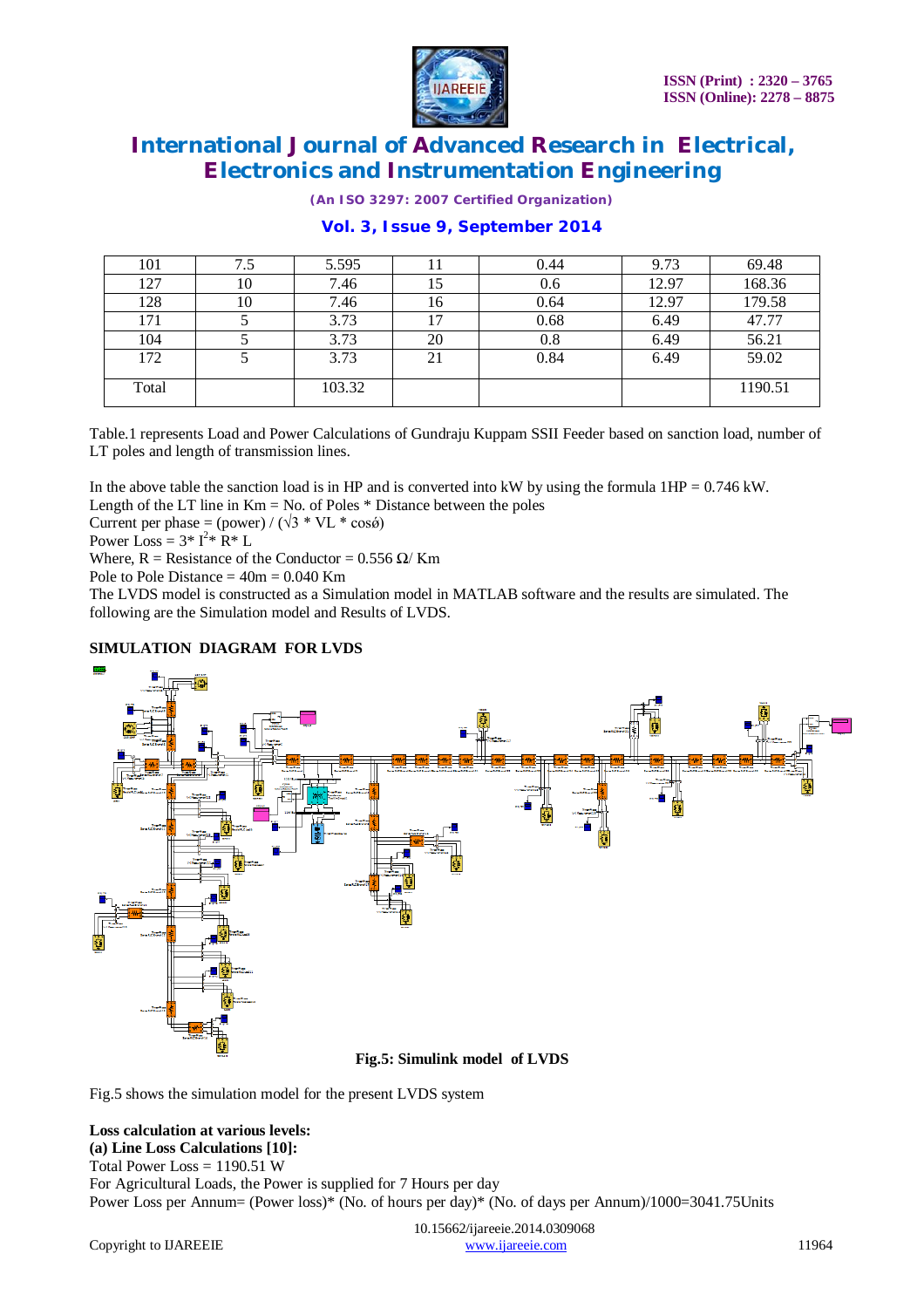

*(An ISO 3297: 2007 Certified Organization)*

# **Vol. 3, Issue 9, September 2014**

| 101   | 7.5 | 5.595  | 11 | 0.44 | 9.73  | 69.48   |
|-------|-----|--------|----|------|-------|---------|
| 127   | 10  | 7.46   | 15 | 0.6  | 12.97 | 168.36  |
| 128   | 10  | 7.46   | 16 | 0.64 | 12.97 | 179.58  |
| 171   |     | 3.73   | 17 | 0.68 | 6.49  | 47.77   |
| 104   |     | 3.73   | 20 | 0.8  | 6.49  | 56.21   |
| 172   |     | 3.73   | 21 | 0.84 | 6.49  | 59.02   |
| Total |     | 103.32 |    |      |       | 1190.51 |

Table.1 represents Load and Power Calculations of Gundraju Kuppam SSII Feeder based on sanction load, number of LT poles and length of transmission lines.

In the above table the sanction load is in HP and is converted into kW by using the formula  $1HP = 0.746$  kW.

Length of the LT line in  $Km = No$ . of Poles  $*$  Distance between the poles

Current per phase =  $(power) / (\sqrt{3} * VL * cos\theta)$ 

Power Loss =  $3 \times 1^{2} \times R \times L$ 

Where,  $R =$  Resistance of the Conductor = 0.556  $\Omega$ / Km

Pole to Pole Distance  $= 40m = 0.040$  Km

The LVDS model is constructed as a Simulation model in MATLAB software and the results are simulated. The following are the Simulation model and Results of LVDS.

# **SIMULATION DIAGRAM FOR LVDS**



**Fig.5: Simulink model of LVDS**

Fig.5 shows the simulation model for the present LVDS system

### **Loss calculation at various levels: (a) Line Loss Calculations [10]:**

Total Power Loss  $= 1190.51$  W For Agricultural Loads, the Power is supplied for 7 Hours per day Power Loss per Annum= (Power loss)\* (No. of hours per day)\* (No. of days per Annum)/1000=3041.75Units

 10.15662/ijareeie.2014.0309068 Copyright to IJAREEIE www.ijareeie.com 11964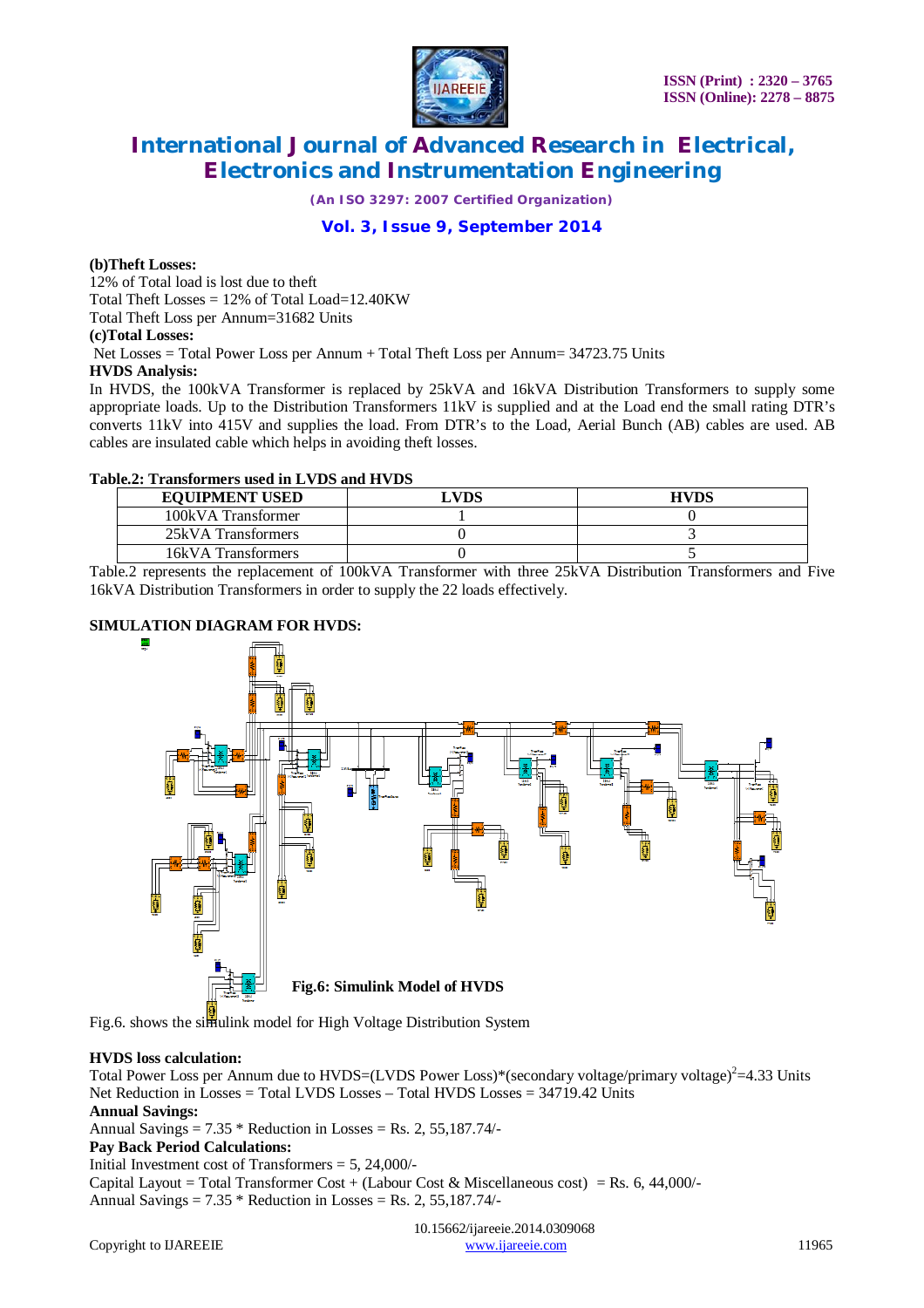

*(An ISO 3297: 2007 Certified Organization)*

# **Vol. 3, Issue 9, September 2014**

#### **(b)Theft Losses:**

12% of Total load is lost due to theft Total Theft Losses  $= 12\%$  of Total Load=12.40KW Total Theft Loss per Annum=31682 Units **(c)Total Losses:** Net Losses = Total Power Loss per Annum + Total Theft Loss per Annum= 34723.75 Units **HVDS Analysis:**

In HVDS, the 100kVA Transformer is replaced by 25kVA and 16kVA Distribution Transformers to supply some appropriate loads. Up to the Distribution Transformers 11kV is supplied and at the Load end the small rating DTR's converts 11kV into 415V and supplies the load. From DTR's to the Load, Aerial Bunch (AB) cables are used. AB cables are insulated cable which helps in avoiding theft losses.

#### **Table.2: Transformers used in LVDS and HVDS**

| <b>EQUIPMENT USED</b> | LVDS | <b>HVDS</b> |
|-----------------------|------|-------------|
| 100kVA Transformer    |      |             |
| 25kVA Transformers    |      |             |
| 16kVA Transformers    |      |             |

Table.2 represents the replacement of 100kVA Transformer with three 25kVA Distribution Transformers and Five 16kVA Distribution Transformers in order to supply the 22 loads effectively.

### **SIMULATION DIAGRAM FOR HVDS:**



Fig.6. shows the simulink model for High Voltage Distribution System

#### **HVDS loss calculation:**

Total Power Loss per Annum due to HVDS=(LVDS Power Loss)\*(secondary voltage/primary voltage)<sup>2</sup>=4.33 Units Net Reduction in Losses = Total LVDS Losses – Total HVDS Losses = 34719.42 Units

### **Annual Savings:**

Annual Savings =  $7.35 *$  Reduction in Losses = Rs. 2, 55,187.74/-

#### **Pay Back Period Calculations:**

Initial Investment cost of Transformers  $= 5, 24,000/$ -

Capital Layout = Total Transformer Cost + (Labour Cost & Miscellaneous cost) = Rs. 6, 44,000/-Annual Savings =  $7.35 *$  Reduction in Losses = Rs. 2, 55,187.74/-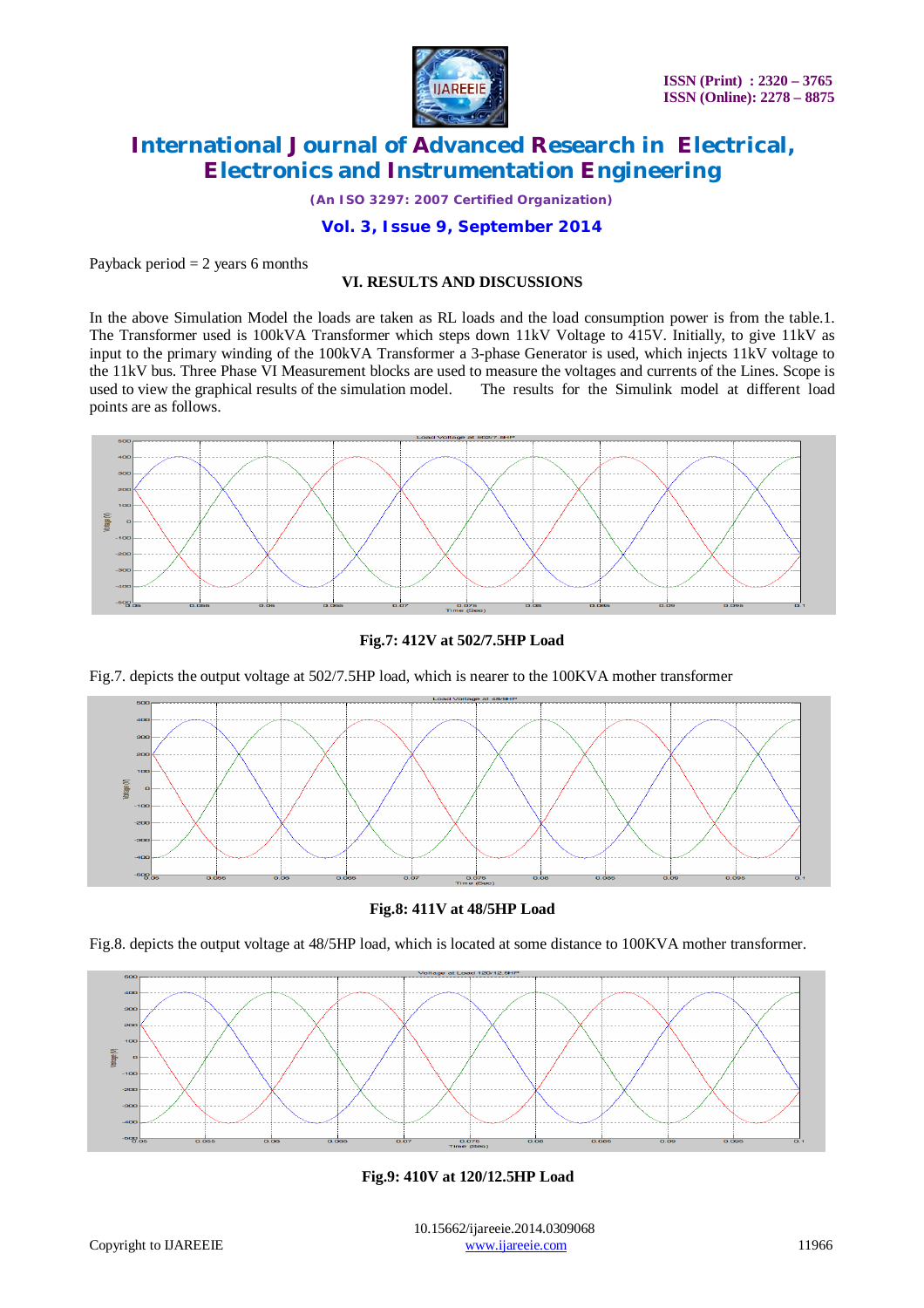

*(An ISO 3297: 2007 Certified Organization)*

### **Vol. 3, Issue 9, September 2014**

#### Payback period  $= 2$  years 6 months

# **VI. RESULTS AND DISCUSSIONS**

In the above Simulation Model the loads are taken as RL loads and the load consumption power is from the table.1. The Transformer used is 100kVA Transformer which steps down 11kV Voltage to 415V. Initially, to give 11kV as input to the primary winding of the 100kVA Transformer a 3-phase Generator is used, which injects 11kV voltage to the 11kV bus. Three Phase VI Measurement blocks are used to measure the voltages and currents of the Lines. Scope is<br>used to view the graphical results of the simulation model. The results for the Simulink model at differe used to view the graphical results of the simulation model. points are as follows.



#### **Fig.7: 412V at 502/7.5HP Load**

Fig.7. depicts the output voltage at 502/7.5HP load, which is nearer to the 100KVA mother transformer



**Fig.8: 411V at 48/5HP Load**

Fig.8. depicts the output voltage at 48/5HP load, which is located at some distance to 100KVA mother transformer.



**Fig.9: 410V at 120/12.5HP Load**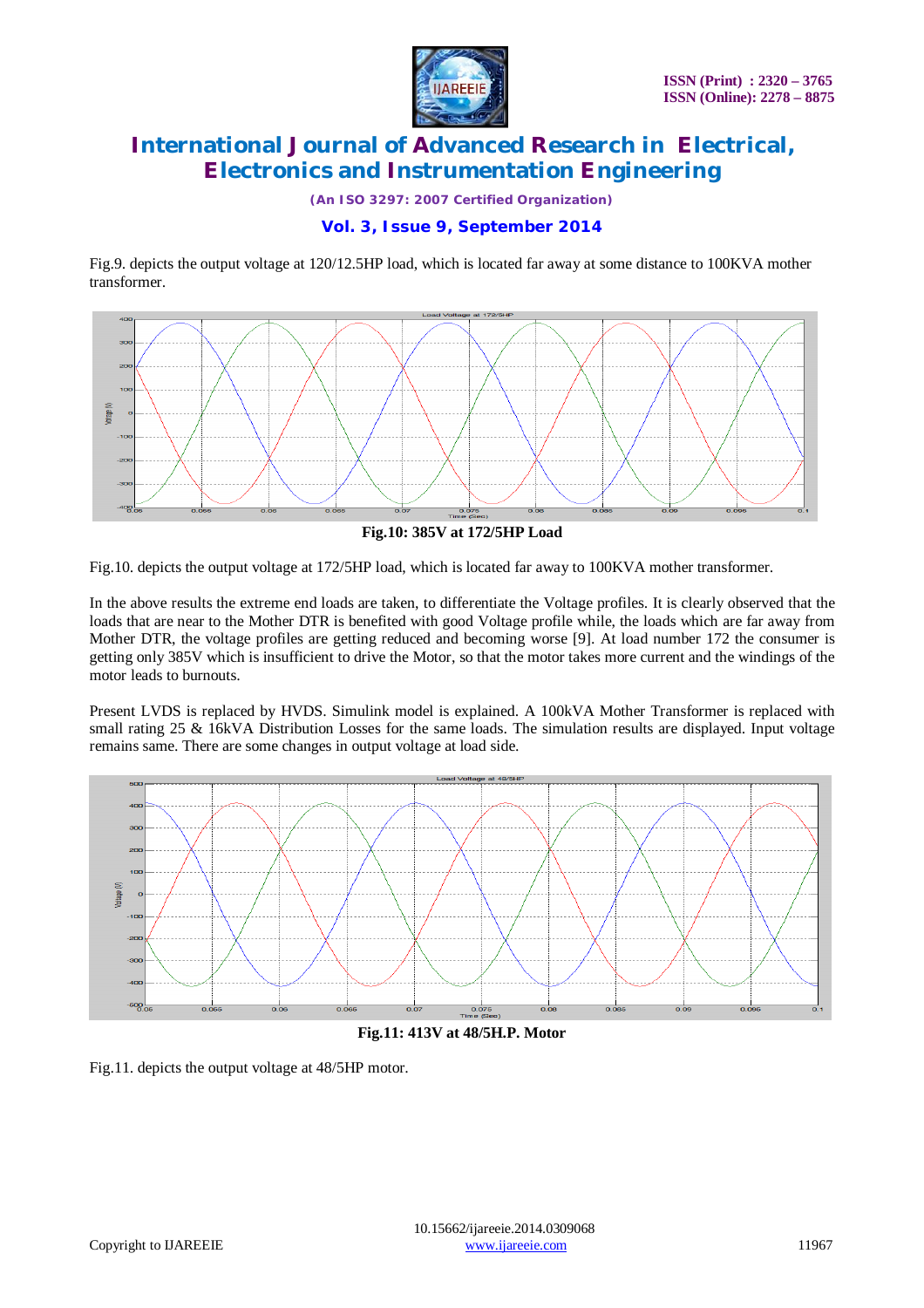

*(An ISO 3297: 2007 Certified Organization)*

# **Vol. 3, Issue 9, September 2014**

Fig.9. depicts the output voltage at 120/12.5HP load, which is located far away at some distance to 100KVA mother transformer.



**Fig.10: 385V at 172/5HP Load**

Fig.10. depicts the output voltage at 172/5HP load, which is located far away to 100KVA mother transformer.

In the above results the extreme end loads are taken, to differentiate the Voltage profiles. It is clearly observed that the loads that are near to the Mother DTR is benefited with good Voltage profile while, the loads which are far away from Mother DTR, the voltage profiles are getting reduced and becoming worse [9]. At load number 172 the consumer is getting only 385V which is insufficient to drive the Motor, so that the motor takes more current and the windings of the motor leads to burnouts.

Present LVDS is replaced by HVDS. Simulink model is explained. A 100kVA Mother Transformer is replaced with small rating 25 & 16kVA Distribution Losses for the same loads. The simulation results are displayed. Input voltage remains same. There are some changes in output voltage at load side.



**Fig.11: 413V at 48/5H.P. Motor** 

Fig.11. depicts the output voltage at 48/5HP motor.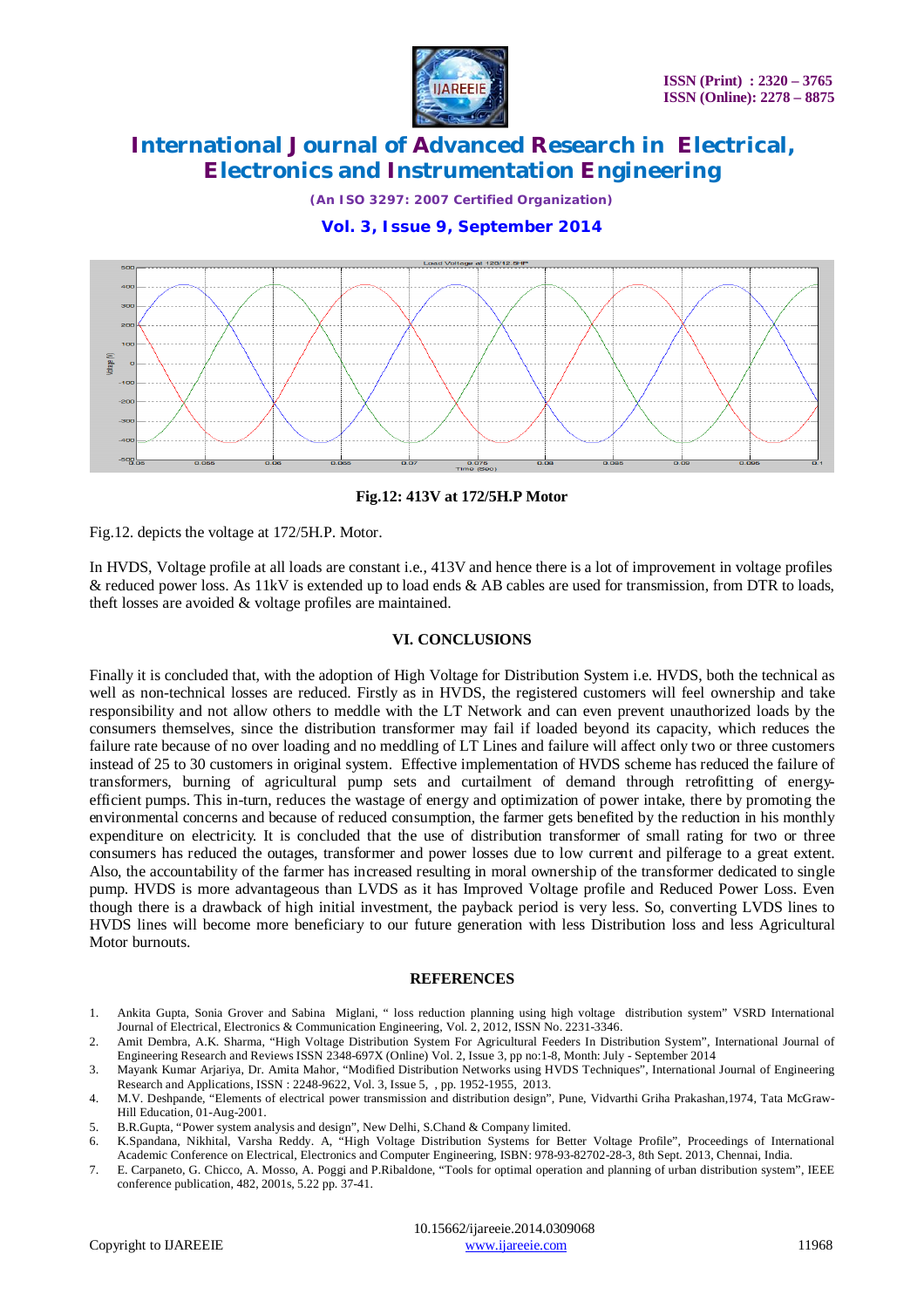

*(An ISO 3297: 2007 Certified Organization)*

# **Vol. 3, Issue 9, September 2014**



#### **Fig.12: 413V at 172/5H.P Motor**

Fig.12. depicts the voltage at 172/5H.P. Motor.

In HVDS, Voltage profile at all loads are constant i.e., 413V and hence there is a lot of improvement in voltage profiles & reduced power loss. As 11kV is extended up to load ends & AB cables are used for transmission, from DTR to loads, theft losses are avoided & voltage profiles are maintained.

#### **VI. CONCLUSIONS**

Finally it is concluded that, with the adoption of High Voltage for Distribution System i.e. HVDS, both the technical as well as non-technical losses are reduced. Firstly as in HVDS, the registered customers will feel ownership and take responsibility and not allow others to meddle with the LT Network and can even prevent unauthorized loads by the consumers themselves, since the distribution transformer may fail if loaded beyond its capacity, which reduces the failure rate because of no over loading and no meddling of LT Lines and failure will affect only two or three customers instead of 25 to 30 customers in original system. Effective implementation of HVDS scheme has reduced the failure of transformers, burning of agricultural pump sets and curtailment of demand through retrofitting of energyefficient pumps. This in-turn, reduces the wastage of energy and optimization of power intake, there by promoting the environmental concerns and because of reduced consumption, the farmer gets benefited by the reduction in his monthly expenditure on electricity. It is concluded that the use of distribution transformer of small rating for two or three consumers has reduced the outages, transformer and power losses due to low current and pilferage to a great extent. Also, the accountability of the farmer has increased resulting in moral ownership of the transformer dedicated to single pump. HVDS is more advantageous than LVDS as it has Improved Voltage profile and Reduced Power Loss. Even though there is a drawback of high initial investment, the payback period is very less. So, converting LVDS lines to HVDS lines will become more beneficiary to our future generation with less Distribution loss and less Agricultural Motor burnouts.

#### **REFERENCES**

- 1. Ankita Gupta, Sonia Grover and Sabina Miglani, " loss reduction planning using high voltage distribution system" VSRD International Journal of Electrical, Electronics & Communication Engineering, Vol. 2, 2012, ISSN No. 2231-3346.
- 2. Amit Dembra, A.K. Sharma, "High Voltage Distribution System For Agricultural Feeders In Distribution System", International Journal of Engineering Research and Reviews ISSN 2348-697X (Online) Vol. 2, Issue 3, pp no:1-8, Month: July - September 2014
- 3. Mayank Kumar Arjariya, Dr. Amita Mahor, "Modified Distribution Networks using HVDS Techniques", International Journal of Engineering Research and Applications, ISSN : 2248-9622, Vol. 3, Issue 5, , pp. 1952-1955, 2013.
- 4. M.V. Deshpande, "Elements of electrical power transmission and distribution design", Pune, Vidvarthi Griha Prakashan,1974, Tata McGraw-Hill Education, 01-Aug-2001.
- 5. B.R.Gupta, "Power system analysis and design", New Delhi, S.Chand & Company limited.
- 6. K.Spandana, Nikhital, Varsha Reddy. A, "High Voltage Distribution Systems for Better Voltage Profile", Proceedings of International Academic Conference on Electrical, Electronics and Computer Engineering, ISBN: 978-93-82702-28-3, 8th Sept. 2013, Chennai, India.
- 7. E. Carpaneto, G. Chicco, A. Mosso, A. Poggi and P.Ribaldone, "Tools for optimal operation and planning of urban distribution system", IEEE conference publication, 482, 2001s, 5.22 pp. 37-41.